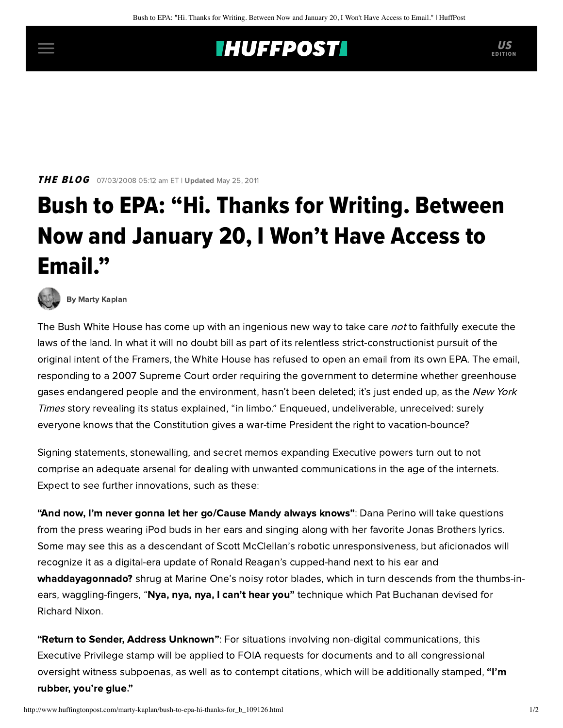## **THUFFPOSTI** US

**THE BLOG** 07/03/2008 05:12 am ET | Updated May 25, 2011

## Bush to EPA: "Hi. Thanks for Writing. Between Now and January 20, I Won't Have Access to Email."



[By Marty Kaplan](http://www.huffingtonpost.com/author/marty-kaplan)

The Bush White House has come up with an ingenious new way to take care not to faithfully execute the laws of the land. In what it will no doubt bill as part of its relentless strict-constructionist pursuit of the original intent of the Framers, the White House has refused to open an email from its own EPA. The email, responding to a 2007 Supreme Court order requiring the government to determine whether greenhouse gases endangered people and the environment, hasn't been deleted; it's just ended up, as the New York Times [story revealing its status explained, "in limbo." Enqueued, undeliverable, unreceived: surely](http://www.nytimes.com/2008/06/25/washington/25epa.html?_r=1&scp=1&sq=white+house+refused+to+open&st=nyt&oref=slogin) everyone knows that the Constitution gives a war-time President the right to vacation-bounce?

Signing statements, stonewalling, and secret memos expanding Executive powers turn out to not comprise an adequate arsenal for dealing with unwanted communications in the age of the internets. Expect to see further innovations, such as these:

"And now, I'm never gonna let her go/Cause Mandy always knows": Dana Perino will take questions from the press wearing iPod buds in her ears and singing along with her favorite Jonas Brothers lyrics. Some may see this as a descendant of Scott McClellan's robotic unresponsiveness, but aficionados will recognize it as a digital-era update of Ronald Reagan's cupped-hand next to his ear and whaddayagonnado? shrug at Marine One's noisy rotor blades, which in turn descends from the thumbs-inears, waggling-fingers, "Nya, nya, nya, I can't hear you" technique which Pat Buchanan devised for Richard Nixon.

"Return to Sender, Address Unknown": For situations involving non-digital communications, this Executive Privilege stamp will be applied to FOIA requests for documents and to all congressional oversight witness subpoenas, as well as to contempt citations, which will be additionally stamped, "I'm rubber, you're glue."